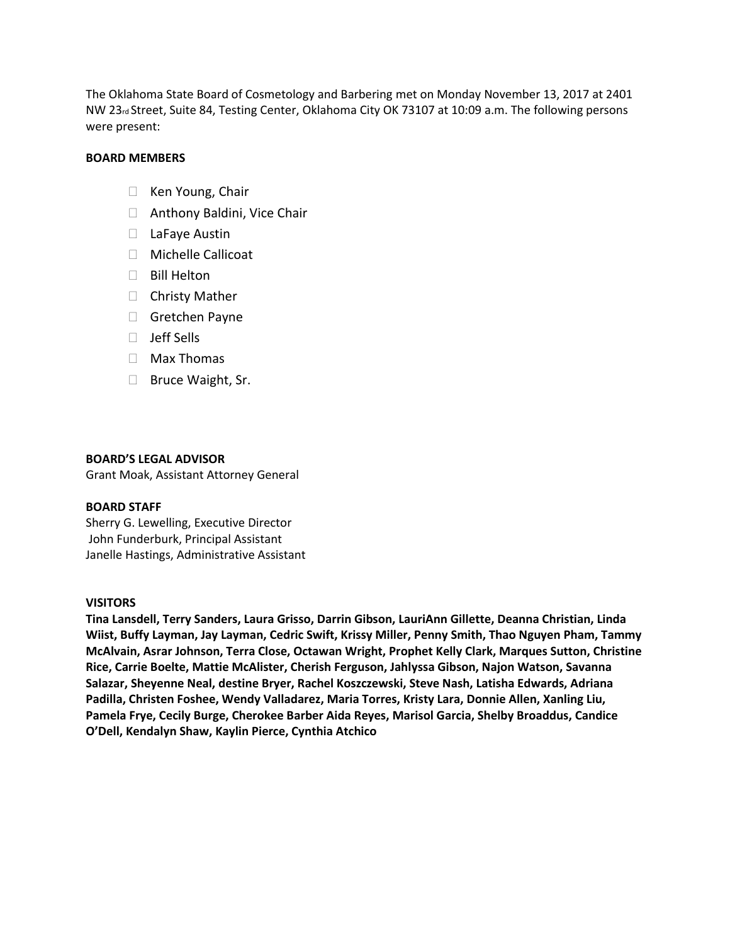The Oklahoma State Board of Cosmetology and Barbering met on Monday November 13, 2017 at 2401 NW 23rd Street, Suite 84, Testing Center, Oklahoma City OK 73107 at 10:09 a.m. The following persons were present:

### **BOARD MEMBERS**

- $\Box$  Ken Young, Chair
- □ Anthony Baldini, Vice Chair
- □ LaFaye Austin
- $\Box$  Michelle Callicoat
- □ Bill Helton
- $\Box$  Christy Mather
- Gretchen Payne
- D Jeff Sells
- $\Box$  Max Thomas
- □ Bruce Waight, Sr.

#### **BOARD'S LEGAL ADVISOR**

Grant Moak, Assistant Attorney General

#### **BOARD STAFF**

Sherry G. Lewelling, Executive Director John Funderburk, Principal Assistant Janelle Hastings, Administrative Assistant

### **VISITORS**

**Tina Lansdell, Terry Sanders, Laura Grisso, Darrin Gibson, LauriAnn Gillette, Deanna Christian, Linda Wiist, Buffy Layman, Jay Layman, Cedric Swift, Krissy Miller, Penny Smith, Thao Nguyen Pham, Tammy McAlvain, Asrar Johnson, Terra Close, Octawan Wright, Prophet Kelly Clark, Marques Sutton, Christine Rice, Carrie Boelte, Mattie McAlister, Cherish Ferguson, Jahlyssa Gibson, Najon Watson, Savanna Salazar, Sheyenne Neal, destine Bryer, Rachel Koszczewski, Steve Nash, Latisha Edwards, Adriana Padilla, Christen Foshee, Wendy Valladarez, Maria Torres, Kristy Lara, Donnie Allen, Xanling Liu, Pamela Frye, Cecily Burge, Cherokee Barber Aida Reyes, Marisol Garcia, Shelby Broaddus, Candice O'Dell, Kendalyn Shaw, Kaylin Pierce, Cynthia Atchico**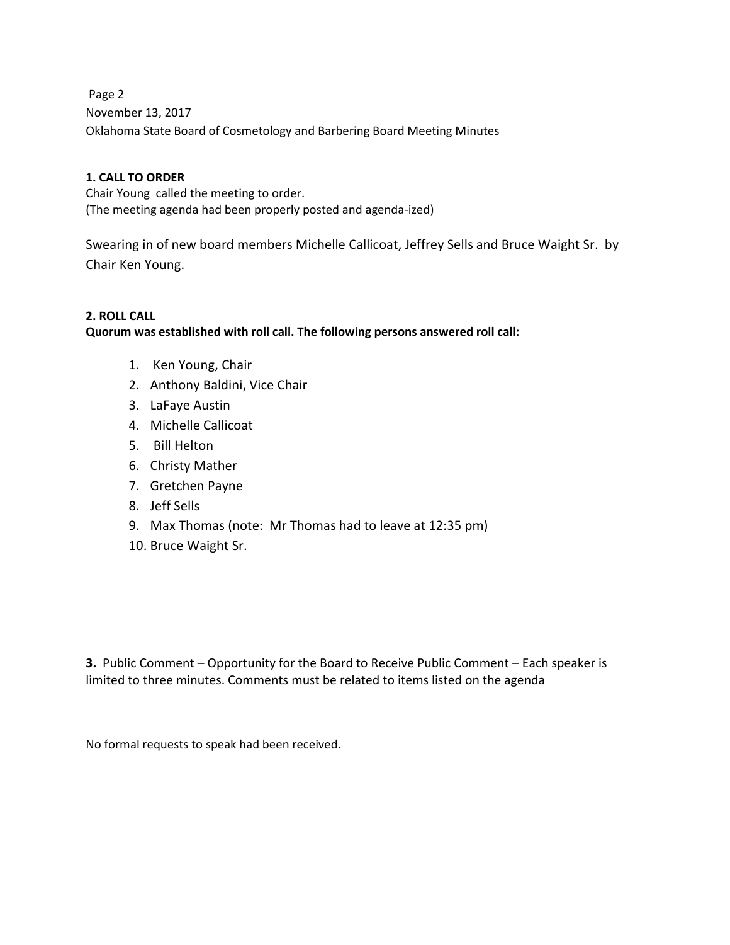Page 2 and 2 and 2 and 2 and 2 and 2 and 2 and 2 and 2 and 2 and 2 and 2 and 2 and 2 and 2 and 2 and 2 and 2 and 2 and 2 and 2 and 2 and 2 and 2 and 2 and 2 and 2 and 2 and 2 and 2 and 2 and 2 and 2 and 2 and 2 and 2 and 2 November 13, 2017 Oklahoma State Board of Cosmetology and Barbering Board Meeting Minutes

# **1. CALL TO ORDER**

Chair Young called the meeting to order. (The meeting agenda had been properly posted and agenda-ized)

Swearing in of new board members Michelle Callicoat, Jeffrey Sells and Bruce Waight Sr. by Chair Ken Young.

# **2. ROLL CALL**

**Quorum was established with roll call. The following persons answered roll call:** 

- 1. Ken Young, Chair
- 2. Anthony Baldini, Vice Chair
- 3. LaFaye Austin
- 4. Michelle Callicoat
- 5. Bill Helton
- 6. Christy Mather
- 7. Gretchen Payne
- 8. Jeff Sells
- 9. Max Thomas (note: Mr Thomas had to leave at 12:35 pm)
- 10. Bruce Waight Sr.

**3.** Public Comment – Opportunity for the Board to Receive Public Comment – Each speaker is limited to three minutes. Comments must be related to items listed on the agenda

No formal requests to speak had been received.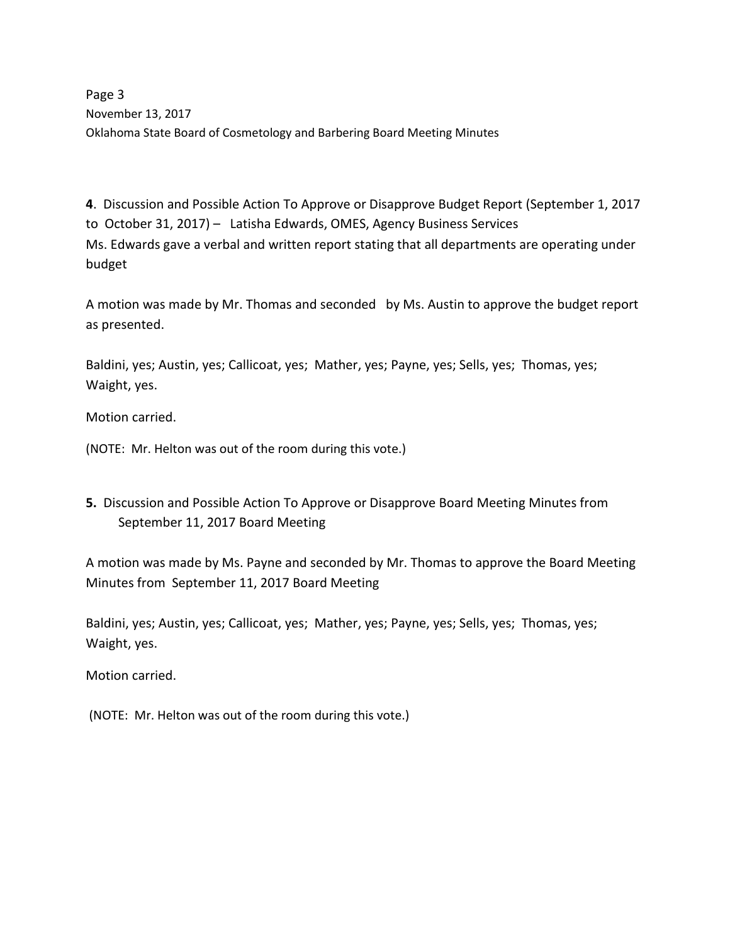Page 3 November 13, 2017 Oklahoma State Board of Cosmetology and Barbering Board Meeting Minutes

**4**. Discussion and Possible Action To Approve or Disapprove Budget Report (September 1, 2017 to October 31, 2017) – Latisha Edwards, OMES, Agency Business Services Ms. Edwards gave a verbal and written report stating that all departments are operating under budget

A motion was made by Mr. Thomas and seconded by Ms. Austin to approve the budget report as presented.

Baldini, yes; Austin, yes; Callicoat, yes; Mather, yes; Payne, yes; Sells, yes; Thomas, yes; Waight, yes.

Motion carried.

(NOTE: Mr. Helton was out of the room during this vote.)

**5.** Discussion and Possible Action To Approve or Disapprove Board Meeting Minutes from September 11, 2017 Board Meeting

A motion was made by Ms. Payne and seconded by Mr. Thomas to approve the Board Meeting Minutes from September 11, 2017 Board Meeting

Baldini, yes; Austin, yes; Callicoat, yes; Mather, yes; Payne, yes; Sells, yes; Thomas, yes; Waight, yes.

Motion carried.

(NOTE: Mr. Helton was out of the room during this vote.)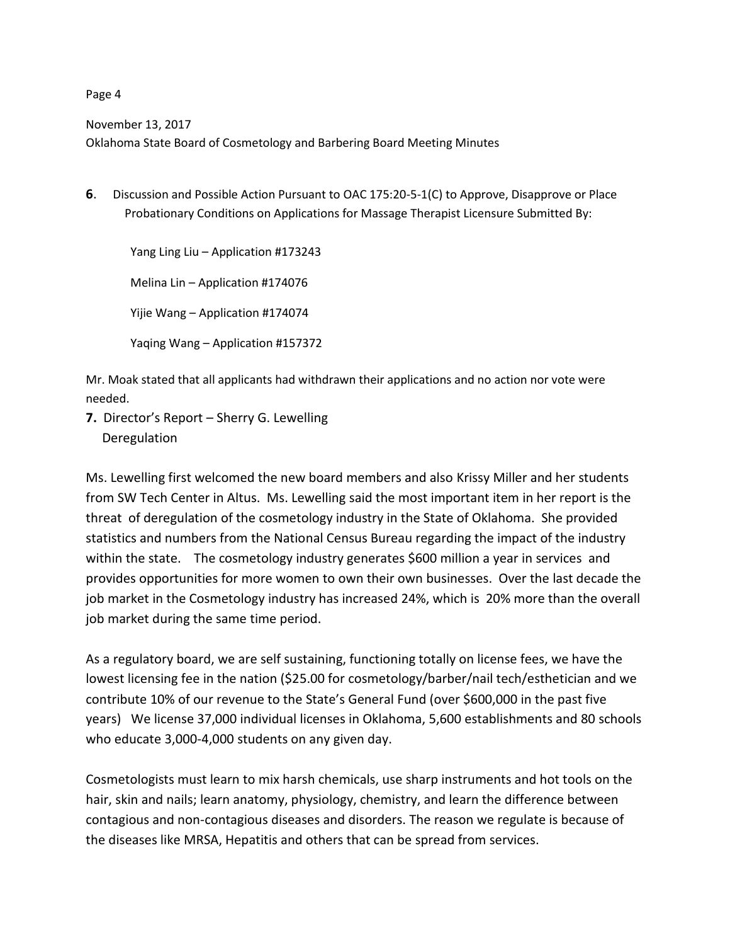November 13, 2017

Oklahoma State Board of Cosmetology and Barbering Board Meeting Minutes

**6**. Discussion and Possible Action Pursuant to OAC 175:20-5-1(C) to Approve, Disapprove or Place Probationary Conditions on Applications for Massage Therapist Licensure Submitted By:

 Yang Ling Liu – Application #173243 Melina Lin – Application #174076 Yijie Wang – Application #174074 Yaqing Wang – Application #157372

Mr. Moak stated that all applicants had withdrawn their applications and no action nor vote were needed.

**7.** Director's Report – Sherry G. Lewelling Deregulation

Ms. Lewelling first welcomed the new board members and also Krissy Miller and her students from SW Tech Center in Altus. Ms. Lewelling said the most important item in her report is the threat of deregulation of the cosmetology industry in the State of Oklahoma. She provided statistics and numbers from the National Census Bureau regarding the impact of the industry within the state. The cosmetology industry generates \$600 million a year in services and provides opportunities for more women to own their own businesses. Over the last decade the job market in the Cosmetology industry has increased 24%, which is 20% more than the overall job market during the same time period.

As a regulatory board, we are self sustaining, functioning totally on license fees, we have the lowest licensing fee in the nation (\$25.00 for cosmetology/barber/nail tech/esthetician and we contribute 10% of our revenue to the State's General Fund (over \$600,000 in the past five years) We license 37,000 individual licenses in Oklahoma, 5,600 establishments and 80 schools who educate 3,000-4,000 students on any given day.

Cosmetologists must learn to mix harsh chemicals, use sharp instruments and hot tools on the hair, skin and nails; learn anatomy, physiology, chemistry, and learn the difference between contagious and non-contagious diseases and disorders. The reason we regulate is because of the diseases like MRSA, Hepatitis and others that can be spread from services.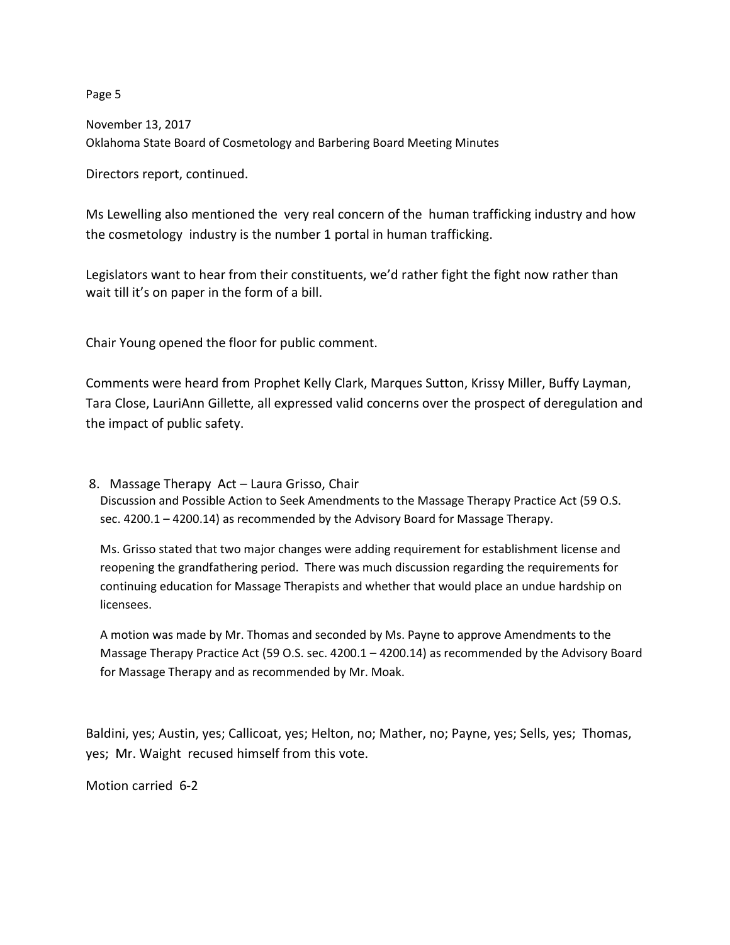November 13, 2017 Oklahoma State Board of Cosmetology and Barbering Board Meeting Minutes

Directors report, continued.

Ms Lewelling also mentioned the very real concern of the human trafficking industry and how the cosmetology industry is the number 1 portal in human trafficking.

Legislators want to hear from their constituents, we'd rather fight the fight now rather than wait till it's on paper in the form of a bill.

Chair Young opened the floor for public comment.

Comments were heard from Prophet Kelly Clark, Marques Sutton, Krissy Miller, Buffy Layman, Tara Close, LauriAnn Gillette, all expressed valid concerns over the prospect of deregulation and the impact of public safety.

8. Massage Therapy Act – Laura Grisso, Chair Discussion and Possible Action to Seek Amendments to the Massage Therapy Practice Act (59 O.S. sec. 4200.1 – 4200.14) as recommended by the Advisory Board for Massage Therapy.

Ms. Grisso stated that two major changes were adding requirement for establishment license and reopening the grandfathering period. There was much discussion regarding the requirements for continuing education for Massage Therapists and whether that would place an undue hardship on licensees.

A motion was made by Mr. Thomas and seconded by Ms. Payne to approve Amendments to the Massage Therapy Practice Act (59 O.S. sec. 4200.1 – 4200.14) as recommended by the Advisory Board for Massage Therapy and as recommended by Mr. Moak.

Baldini, yes; Austin, yes; Callicoat, yes; Helton, no; Mather, no; Payne, yes; Sells, yes; Thomas, yes; Mr. Waight recused himself from this vote.

Motion carried 6-2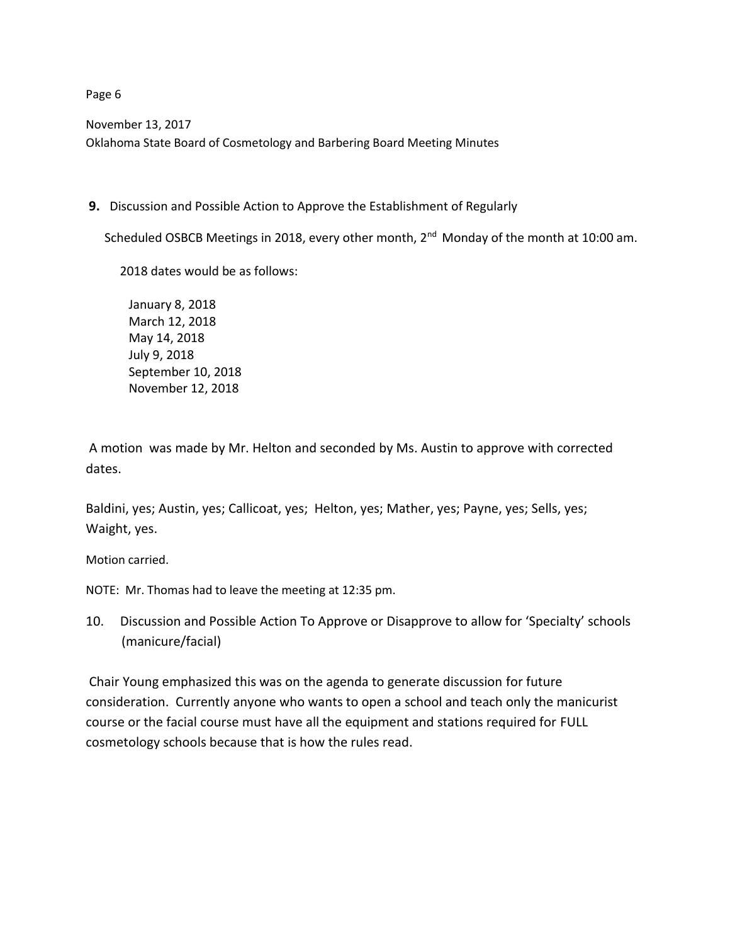November 13, 2017 Oklahoma State Board of Cosmetology and Barbering Board Meeting Minutes

**9.** Discussion and Possible Action to Approve the Establishment of Regularly

Scheduled OSBCB Meetings in 2018, every other month, 2<sup>nd</sup> Monday of the month at 10:00 am.

2018 dates would be as follows:

January 8, 2018 March 12, 2018 May 14, 2018 July 9, 2018 September 10, 2018 November 12, 2018

A motion was made by Mr. Helton and seconded by Ms. Austin to approve with corrected dates.

Baldini, yes; Austin, yes; Callicoat, yes; Helton, yes; Mather, yes; Payne, yes; Sells, yes; Waight, yes.

Motion carried.

NOTE: Mr. Thomas had to leave the meeting at 12:35 pm.

10. Discussion and Possible Action To Approve or Disapprove to allow for 'Specialty' schools (manicure/facial)

Chair Young emphasized this was on the agenda to generate discussion for future consideration. Currently anyone who wants to open a school and teach only the manicurist course or the facial course must have all the equipment and stations required for FULL cosmetology schools because that is how the rules read.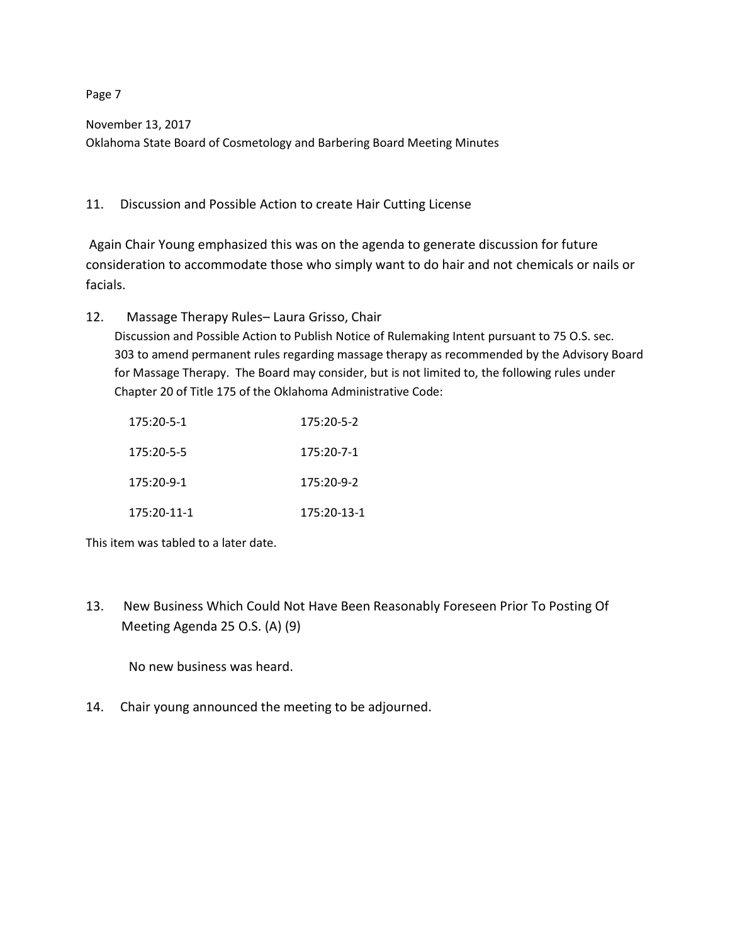November 13, 2017 Oklahoma State Board of Cosmetology and Barbering Board Meeting Minutes

11. Discussion and Possible Action to create Hair Cutting License

Again Chair Young emphasized this was on the agenda to generate discussion for future consideration to accommodate those who simply want to do hair and not chemicals or nails or facials.

12. Massage Therapy Rules– Laura Grisso, Chair Discussion and Possible Action to Publish Notice of Rulemaking Intent pursuant to 75 O.S. sec. 303 to amend permanent rules regarding massage therapy as recommended by the Advisory Board for Massage Therapy. The Board may consider, but is not limited to, the following rules under Chapter 20 of Title 175 of the Oklahoma Administrative Code:

| 175:20-5-1   | $175:20 - 5 - 2$ |
|--------------|------------------|
| 175:20-5-5   | 175:20-7-1       |
| $175:20-9-1$ | $175:20-9-2$     |
| 175:20-11-1  | 175:20-13-1      |

This item was tabled to a later date.

13. New Business Which Could Not Have Been Reasonably Foreseen Prior To Posting Of Meeting Agenda 25 O.S. (A) (9)

No new business was heard.

14. Chair young announced the meeting to be adjourned.